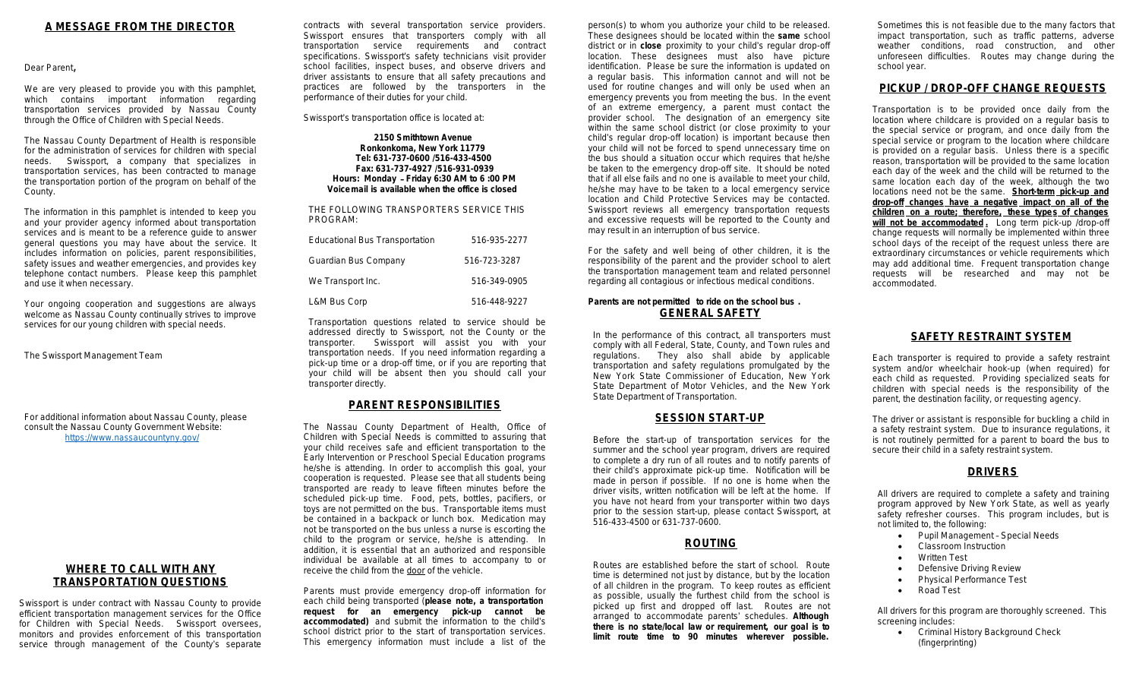## **A MESSAGE FROM THE DIRECTOR**

Dear Parent,

We are very pleased to provide you with this pamphlet, which contains important information regarding transportation services provided by Nassau County through the Office of Children with Special Needs.

The Nassau County Department of Health is responsible for the administration of services for children with special needs. Swissport, a company that specializes in Swissport, a company that specializes in transportation services, has been contracted to manage the transportation portion of the program on behalf of the County.

The information in this pamphlet is intended to keep you and your provider agency informed about transportation services and is meant to be a [reference](https://www.nassaucountyny.gov/) quide to answer general questions you may have about the service. It includes information on policies, parent responsibilities, safety issues and weather emergencies, and provides key telephone contact numbers. Please keep this pamphlet and use it when necessary.

Your ongoing cooperation and suggestions are always welcome as Nassau County continually strives to improve services for our young children with special needs.

The Swissport Management Team

For additional information about Nassau County, please consult the Nassau County Government Website: https://www.nassaucountyny.gov/

## **WHERE TO CALL WITH ANY TRANSPORTATION QUESTIONS**

Swissport is under contract with Nassau County to provide efficient transportation management services for the Office for Children with Special Needs. Swissport oversees, monitors and provides enforcement of this transportation service through management of the County's separate

contracts with several transportation service providers. Swissport ensures that transporters comply with all transportation service requirements and contract specifications. Swissport's safety technicians visit provider school facilities, inspect buses, and observe drivers and driver assistants to ensure that all safety precautions and practices are followed by the transporters in the performance of their duties for your child.

Swissport's transportation office is located at:

**2150 Smithtown Avenue Ronkonkoma, New York 11779 Tel: 631-737-0600 /516-433-4500 Fax: 631-737-4927 /516-931-0939 Hours: Monday** – **Friday 6:30 AM to 6 :00 PM Voicemail is available when the office is closed**

THE FOLLOWING TRANSPORTERS SERVICE THIS PROGRAM:

| <b>Educational Bus Transportation</b> | 516-935-2277 |
|---------------------------------------|--------------|
| Guardian Bus Company                  | 516-723-3287 |
| We Transport Inc.                     | 516-349-0905 |
| L&M Bus Corp                          | 516-448-9227 |

Transportation questions related to service should be addressed directly to Swissport, not the County or the transporter. Swissport will assist you with your transportation needs. If you need information regarding a pick-up time or a drop-off time, or if you are reporting that your child will be absent then you should call your transporter directly.

## **PARENT RESPONSIBILITIES**

The Nassau County Department of Health, Office of Children with Special Needs is committed to assuring that your child receives safe and efficient transportation to the Early Intervention or Preschool Special Education programs he/she is attending. In order to accomplish this goal, your cooperation is requested. Please see that all students being transported are ready to leave fifteen minutes before the scheduled pick-up time. Food, pets, bottles, pacifiers, or toys are not permitted on the bus. Transportable items must be contained in a backpack or lunch box. Medication may not be transported on the bus unless a nurse is escorting the child to the program or service, he/she is attending. In addition, it is essential that an authorized and responsible individual be available at all times to accompany to or receive the child from the door of the vehicle.

Parents must provide emergency drop-off information for each child being transported (**please note, a transportation request for an emergency pick-up cannot be accommodated)** and submit the information to the child's school district prior to the start of transportation services. This emergency information must include a list of the

person(s) to whom you a <del>.</del><br>These designees should district or in **close** proxim location. These designe identification. Please be a regular basis. This in used for routine changes emergency prevents you of an extreme emergen provider school. The d within the same school or child's regular drop-off lo your child will not be ford the bus should a situation be taken to the emergend that if all else fails and no he/she may have to be ta location and Child Prote Swissport reviews all em and excessive requests \ may result in an interruption

For the safety and well responsibility of the parent the transportation manage regarding all contagious o

#### **Parents are not permitted GENE**

In the performance of t comply with all Federal, regulations. They a transportation and safet New York State Comm State Department of M State Department of Tran

# **SESSI**

Before the start-up of summer and the school to complete a dry run of their child's approximate made in person if possi driver visits, written notif you have not heard from prior to the session start 516-433-4500 or 631-73

# **ROUTING**

Routes are established time is determined not ju of all children in the pro as possible, usually the picked up first and dro arranged to accommod **there** is no state/local **l limit route time to 9**